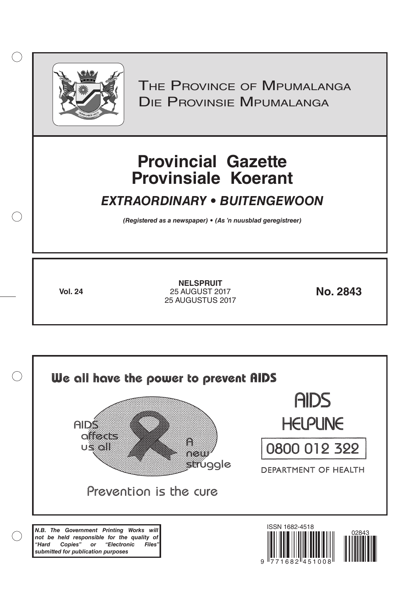

 $( )$ 

THE PROVINCE OF MPUMALANGA Die Provinsie Mpumalanga

# **Provincial Gazette Provinsiale Koerant**

# *EXTRAORDINARY • BUITENGEWOON*

*(Registered as a newspaper) • (As 'n nuusblad geregistreer)*

**Vol. 24 No. 2843** 25 AUGUST 2017 **NELSPRUIT** 25 AUGUSTUS 2017

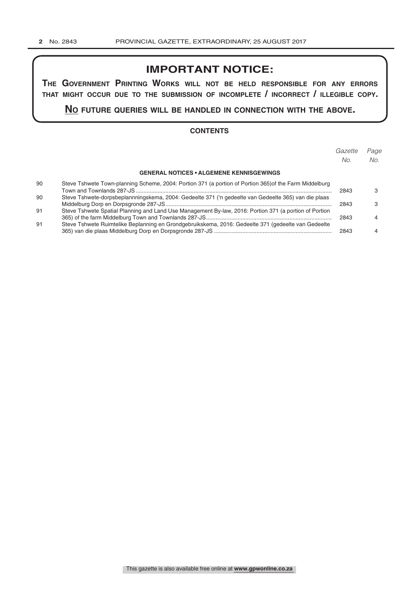## **IMPORTANT NOTICE:**

**The GovernmenT PrinTinG Works Will noT be held resPonsible for any errors ThaT miGhT occur due To The submission of incomPleTe / incorrecT / illeGible coPy.**

**no fuTure queries Will be handled in connecTion WiTh The above.**

## **CONTENTS**

|    |                                                                                                         | Gazette | Page<br>No. |
|----|---------------------------------------------------------------------------------------------------------|---------|-------------|
|    |                                                                                                         | No.     |             |
|    | <b>GENERAL NOTICES • ALGEMENE KENNISGEWINGS</b>                                                         |         |             |
| 90 | Steve Tshwete Town-planning Scheme, 2004: Portion 371 (a portion of Portion 365) of the Farm Middelburg | 2843    | 3           |
| 90 | Steve Tshwete-dorpsbeplannningskema, 2004: Gedeelte 371 ('n gedeelte van Gedeelte 365) van die plaas    | 2843    | 3           |
| 91 | Steve Tshwete Spatial Planning and Land Use Management By-law, 2016: Portion 371 (a portion of Portion  | 2843    |             |
| 91 | Steve Tshwete Ruimtelike Beplanning en Grondgebruikskema, 2016: Gedeelte 371 (gedeelte van Gedeelte     | 2843    | 4           |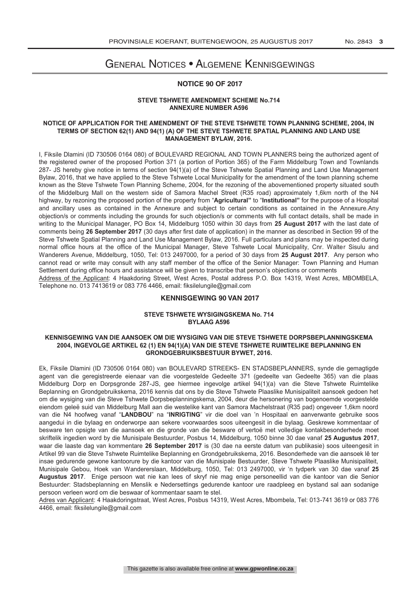## General Notices • Algemene Kennisgewings

## **NOTICE 90 OF 2017**

## **STEVE TSHWETE AMENDMENT SCHEME No.714 ANNEXURE NUMBER A596**

## **NOTICE OF APPLICATION FOR THE AMENDMENT OF THE STEVE TSHWETE TOWN PLANNING SCHEME, 2004, IN ANNEXURE NUMBER A596 TERMS OF SECTION 62(1) AND 94(1) (A) OF THE STEVE TSHWETE SPATIAL PLANNING AND LAND USE MANAGEMENT BYLAW, 2016.**

I, Fiksile Dlamini (ID 730506 0164 080) of BOULEVARD REGIONAL AND TOWN PLANNERS being the authorized agent of the registered owner of the proposed Portion 371 (a portion of Portion 365) of the Farm Middelburg Town and Townlands 287- JS hereby give notice in terms of section 94(1)(a) of the Steve Tshwete Spatial Planning and Land Use Management 287- JS hereby give notice in terms of section 94(1)(a) of the Steve Tshwete Spatial Planning and Land Use Management<br>Bylaw, 2016, that we have applied to the Steve Tshwete Local Municipality for the amendment of the town known as the Steve Tshwete Town Planning Scheme, 2004, for the rezoning of the abovementioned property situated south of the Middelburg Mall on the western side of Samora Machel Street (R35 road) approximately 1,6km north of the N4 highway, by rezoning the proposed portion of the property from "**Agricultural"** to "**Institutional"** for the purpose of a Hospital and ancillary uses as contained in the Annexure and subject to certain conditions as contained in the Annexure.Any objection/s or comments including the grounds for such objection/s or comments with full contact details, shall be made in writing to the Municipal Manager, PO Box 14, Middelburg 1050 within 30 days from **25 August 2017** with the last date of comments being **26 September 2017** (30 days after first date of application) in the manner as described in Section 99 of the Steve Tshwete Spatial Planning and Land Use Management Bylaw, 2016. Full particulars and plans may be inspected during normal office hours at the office of the Municipal Manager, Steve Tshwete Local Municipality, Cnr. Walter Sisulu and Wanderers Avenue, Middelburg, 1050, Tel: 013 2497000, for a period of 30 days from **25 August 2017**. Any person who cannot read or write may consult with any staff member of the office of the Senior Manager: Town Planning and Human Settlement during office hours and assistance will be given to transcribe that person's objections or comments known as the Steve Tshwete Town Planning Scheme, 2004, for the rezoning of the abovementioned property situated south<br>of the Middelburg Mall on the western side of Samora Machel Street (R35 road) approximately 1,6km north

<u>Address of the Applicant</u>: 4 Haakdoring Street, West Acres, Postal address P.O. Box 14319, West Acres, MBOMBELA,<br>Telephone no. 013 7413619 or 083 776 4466, email: fiksilelungile@gmail.com Telephone no. 013 7413619 or 083 776 4466, email: fiksilelungile@gmail.com

### **KENNISGEWING 90 VAN 2017**<br> **KENNISGEWING 90 VAN 2017**  $T_{\text{eff}}$  7413619  $T_{\text{eff}}$

#### **KENNISGEWING DIE WYSIGING VAN DIE STEL AANSTE DORPSBEPLANNINGS VAN DIE STEUE DOE STELDORPSBEPLANNINGS KEINE DOE STEUE DOE DOE DOE DIE STELDORPSBEPLANNING IN DIE STELDORPSBEPLANNING IN DIE STELDORPSBEPLANNING IN DIE STELDO STEVE TSHWETE WYSIGINGSKEMA No. 714 BYLAAG A596**

## KENNISGEWING VAN DIE AANSOEK OM DIE WYSIGING VAN DIE STEVE TSHWETE DORPSBEPLANNINGSKEMA Ek, Fiksile Dlamini (ID 730506 0164 080) van BOULEVARD STREEKS- EN STADSBEPLANNERS, synde die gemagtigde **GRONDGEBRUIKSBESTUUR BYWET, 2016. 2004, INGEVOLGE ARTIKEL 62 (1) EN 94(1)(A) VAN DIE STEVE TSHWETE RUIMTELIKE BEPLANNING EN**

Ek, Fiksile Dlamini (ID 730506 0164 080) van BOULEVARD STREEKS- EN STADSBEPLANNERS, synde die gemagtigde agent van die geregistreerde eienaar van die voorgestelde Gedeelte 371 (gedeelte van Gedeelte 365) van die plaas Middelburg Dorp en Dorpsgronde 287-JS, gee hiermee ingevolge artikel 94(1)(a) van die Steve Tshwete Ruimtelike Middelburg Dorp en Dorpsgronde 287-JS, gee hiermee ingevolge artikel 94(1)(a) van die Steve Tshwete Ruimtelike<br>Beplanning en Grondgebruikskema, 2016 kennis dat ons by die Steve Tshwete Plaaslike Munisipaliteit aansoek gedo om die wysiging van die Steve Tshwete Dorpsbeplanningskema, 2004, deur die hersonering van bogenoemde voorgestelde eiendom geleë suid van Middelburg Mall aan die westelike kant van Samora Machelstraat (R35 pad) ongeveer 1,6km noord van die N4 hoofweg vanaf "LANDBOU" na "INRIGTING" vir die doel van 'n Hospitaal en aanverwante gebruike soos aangedui in die bylaag en onderworpe aan sekere voorwaardes soos uiteengesit in die bylaag. Geskrewe kommentaar of besware ten opsigte van die aansoek en die gronde van die besware of vertoë met volledige kontakbesonderhede moet skriftelik ingedien word by die Munisipale Bestuurder, Posbus 14, Middelburg, 1050 binne 30 dae vanaf 25 Augustus 2017, aangedui in die bylaag en onderworpe aan sekere voorwaardes soos uiteengesit in die bylaag. Geskrewe kommentaar of<br>besware ten opsigte van die aansoek en die gronde van die besware of vertoë met volledige kontakbesonderhed Artikel 99 van die Steve Tshwete Ruimtelike Beplanning en Grondgebruikskema, 2016. Besonderhede van die aansoek lê ter insae gedurende gewone kantoorure by die kantoor van die Munisipale Bestuurder, Steve Tshwete Plaaslike Munisipaliteit, Artikel 99 van die Steve Tshwete Ruimtelike Beplanning en Grondgebruikskema, 2016. Besonderhede van die aansoek lê ter<br>insae gedurende gewone kantoorure by die kantoor van die Munisipale Bestuurder, Steve Tshwete Plaaslike Augustus 2017. Enige persoon wat nie kan lees of skryf nie mag enige personeellid van die kantoor van die Senior Bestuurder: Stadsbeplanning en Menslik e Nedersettings gedurende kantoor ure raadpleeg en bystand sal aan sodanige persoon verleen word om die beswaar of kommentaar saam te stel.

Adres van Applicant: 4 Haakdoringstraat, West Acres, Posbus 14319, West Acres, Mbombela, Tel: 013-741 3619 or 083 776 4466, email: fiksilelungile@gmail.com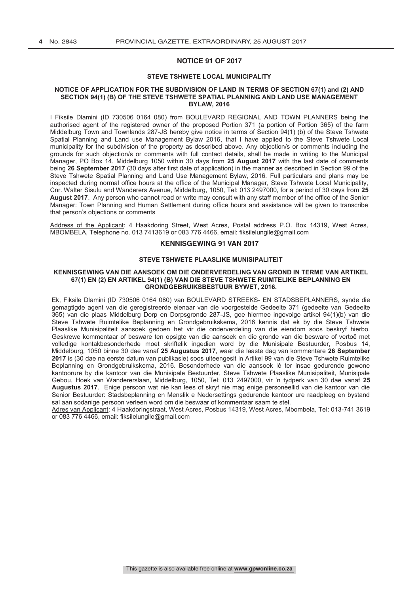## **NOTICE 91 OF 2017**

## **STEVE TSHWETE LOCAL MUNICIPALITY**

## **NOTICE OF APPLICATION FOR THE SUBDIVISION OF LAND IN TERMS OF SECTION 67(1) and (2) AND STEVE TSHWETE LOCAL MUNICIPALITY SECTION 94(1) (B) OF THE STEVE TSHWETE SPATIAL PLANNING AND LAND USE MANAGEMENT BYLAW, 2016**

I Fiksile Dlamini (ID 730506 0164 080) from BOULEVARD REGIONAL AND TOWN PLANNERS being the authorised agent of the registered owner of the proposed Portion 371 (a portion of Portion 365) of the farm Middelburg Town and Townlands 287-JS hereby give notice in terms of Section 94(1) (b) of the Steve Tshwete Spatial Planning and Land use Management Bylaw 2016, that I have applied to the Steve Tshwete Local municipality for the subdivision of the property as described above. Any objection/s or comments including the grounds for such objection/s or comments with full contact details, shall be made in writing to the Municipal Manager, PO Box 14, Middelburg 1050 within 30 days from 25 August 2017 with the last date of comments being 26 September 2017 (30 days after first date of application) in the manner as described in Section 99 of the Steve Tshwete Spatial Planning and Land Use Management Bylaw, 2016. Full particulars and plans may be inspected during normal office hours at the office of the Municipal Manager, Steve Tshwete Local Municipality, Cnr. Walter Sisulu and Wanderers Avenue, Middelburg, 1050, Tel: 013 2497000, for a period of 30 days from 25 August 2017. Any person who cannot read or write may consult with any staff member of the office of the Senior Manager: Town Planning and Human Settlement during office hours and assistance will be given to transcribe **August 2017. August 2017** August 2017 **Read or write may consult with any staff member of the office of the office of the office of the office of the office of the Senior Consult with any staff member of the Senior Consul SECTION 94(1) (B) OF THE STEVE TSHWETE SPATIAL PLANNING AND LAND USE MANAGEMENT BULLEVARD** 

Address of the Applicant: 4 Haakdoring Street, West Acres, Postal address P.O. Box 14319, West Acres, MBOMBELA, Telephone no. 013 7413619 or 083 776 4466, email: fiksilelungile@gmail.com had <u>Address of the Applicant</u>: 4 Haakdo

### **KENNISGEWING 91 VAN 2017**  $M$ Bombela, Telephone no. 013 7413 $\mu$

## STEVE TSHWETE PLAASLIKE MUNISIPALITEIT

## KENNISGEWING VAN DIE AANSOEK OM DIE ONDERVERDELING VAN GROND IN TERME VAN ARTIKEL GRONDGEBRUIKSBESTUUR BYWET, 2016. **67(1) EN (2) EN ARTIKEL 94(1) (B) VAN DIE STEVE TSHWETE RUIMTELIKE BEPLANNING EN**

Ek, Fiksile Dlamini (ID 730506 0164 080) van BOULEVARD STREEKS- EN STADSBEPLANNERS, synde die gemagtigde agent van die geregistreerde eienaar van die voorgestelde Gedeelte 371 (gedeelte van Gedeelte 365) van die plaas Middelburg Dorp en Dorpsgronde 287-JS, gee hiermee ingevolge artikel 94(1)(b) van die Steve Tshwete Ruimtelike Beplanning en Grondgebruikskema, 2016 kennis dat ek by die Steve Tshwete Plaaslike Munisipaliteit aansoek gedoen het vir die onderverdeling van die eiendom soos beskryf hierbo. Geskrewe kommentaar of besware ten opsigte van die aansoek en die gronde van die besware of vertoë met volledige kontakbesonderhede moet skriftelik ingedien word by die Munisipale Bestuurder, Posbus 14, Middelburg, 1050 binne 30 dae vanaf 25 Augustus 2017, waar die laaste dag van kommentare 26 September 2017 is (30 dae na eerste datum van publikasie) soos uiteengesit in Artikel 99 van die Steve Tshwete Ruimtelike Beplanning en Grondgebruikskema, 2016. Besonderhede van die aansoek lê ter insae gedurende gewone kantoorure by die kantoor van die Munisipale Bestuurder, Steve Tshwete Plaaslike Munisipaliteit, Munisipale Gebou, Hoek van Wandererslaan, Middelburg, 1050, Tel: 013 2497000, vir 'n tydperk van 30 dae vanaf 25 Augustus 2017. Enige persoon wat nie kan lees of skryf nie mag enige personeellid van die kantoor van die Senior Bestuurder: Stadsbeplanning en Menslik e Nedersettings gedurende kantoor ure raadpleeg en bystand sal aan sodanige persoon verleen word om die beswaar of kommentaar saam te stel.

Adres van Applicant: 4 Haakdoringstraat, West Acres, Posbus 14319, West Acres, Mbombela, Tel: 013-741 3619 or 083 776 4466, email: fiksilelungile@gmail.com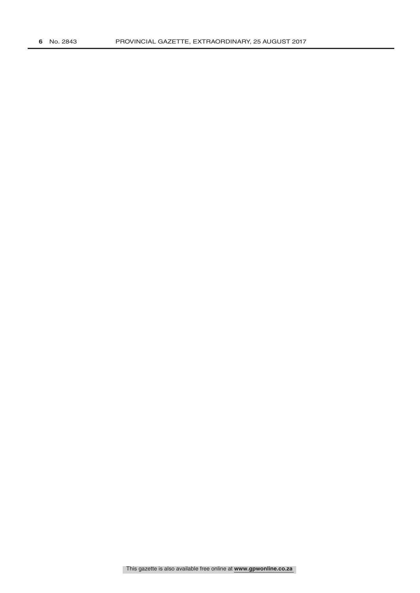This gazette is also available free online at **www.gpwonline.co.za**